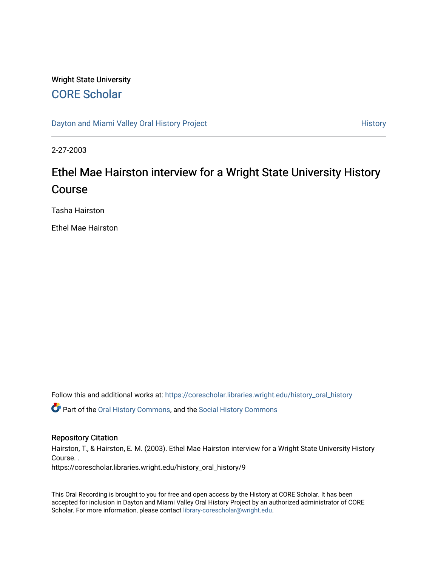#### Wright State University [CORE Scholar](https://corescholar.libraries.wright.edu/)

[Dayton and Miami Valley Oral History Project](https://corescholar.libraries.wright.edu/history_oral_history) **History** History

2-27-2003

# Ethel Mae Hairston interview for a Wright State University History Course

Tasha Hairston

Ethel Mae Hairston

Follow this and additional works at: [https://corescholar.libraries.wright.edu/history\\_oral\\_history](https://corescholar.libraries.wright.edu/history_oral_history?utm_source=corescholar.libraries.wright.edu%2Fhistory_oral_history%2F9&utm_medium=PDF&utm_campaign=PDFCoverPages) 

Part of the [Oral History Commons](http://network.bepress.com/hgg/discipline/1195?utm_source=corescholar.libraries.wright.edu%2Fhistory_oral_history%2F9&utm_medium=PDF&utm_campaign=PDFCoverPages), and the [Social History Commons](http://network.bepress.com/hgg/discipline/506?utm_source=corescholar.libraries.wright.edu%2Fhistory_oral_history%2F9&utm_medium=PDF&utm_campaign=PDFCoverPages)

#### Repository Citation

Hairston, T., & Hairston, E. M. (2003). Ethel Mae Hairston interview for a Wright State University History Course. .

https://corescholar.libraries.wright.edu/history\_oral\_history/9

This Oral Recording is brought to you for free and open access by the History at CORE Scholar. It has been accepted for inclusion in Dayton and Miami Valley Oral History Project by an authorized administrator of CORE Scholar. For more information, please contact [library-corescholar@wright.edu](mailto:library-corescholar@wright.edu).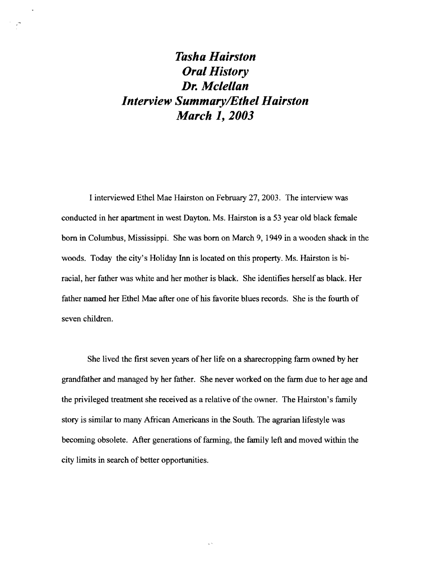## *Tasha Hairston Oral History Dr. Mclellan Interview SummarylEthel Hairston March* **1,** *2003*

 $\frac{1}{2}$ 

I interviewed Ethel Mae Hairston on February 27,2003. The interview was conducted in her apartment in west Dayton. Ms. Hairston is a 53 year old black female born in Columbus, Mississippi. She was born on March 9, 1949 in a wooden shack in the woods. Today the city's Holiday Inn is located on this property. Ms. Hairston is biracial, her father was white and her mother is black. She identifies herself as black. Her father named her Ethel Mae after one of his favorite blues records. She is the fourth of seven children.

She lived the first seven years of her life on a sharecropping farm owned by her grandfather and managed by her father. She never worked on the farm due to her age and the privileged treatment she received as a relative of the owner. The Hairston's family story is similar to many African Americans in the South. The agrarian lifestyle was becoming obsolete. After generations of farming, the family left and moved within the city limits in search of better opportunities.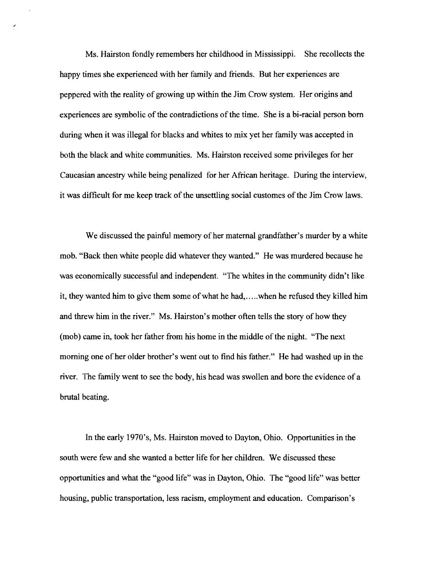Ms. Hairston fondly remembers her childhood in Mississippi. She recollects the happy times she experienced with her family and friends. But her experiences are peppered with the reality of growing up within the Jim Crow system. Her origins and experiences are symbolic of the contradictions of the time. She is a bi-racial person born during when it was illegal for blacks and whites to mix yet her family was accepted in both the black and white communities. Ms. Hairston received some privileges for her Caucasian ancestry while being penalized for her African heritage. During the interview, it was difficult for me keep track of the unsettling social customes of the Jim Crow laws.

We discussed the painful memory of her maternal grandfather's murder by a white mob. "Back then white people did whatever they wanted." He was murdered because he was economically successful and independent. "The whites in the community didn't like it, they wanted him to give them some ofwhat he had,.....when he refused they killed him and threw him in the river." Ms. Hairston's mother often tells the story of how they (mob) came in, took her father from his home in the middle of the night. "The next morning one of her older brother's went out to find his father." He had washed up in the river. The family went to see the body, his head was swollen and bore the evidence of a brutal beating.

In the early 1970's, Ms. Hairston moved to Dayton, Ohio. Opportunities in the south were few and she wanted a better life for her children. We discussed these opportunities and what the "good life" was in Dayton, Ohio. The "good life" was better housing, public transportation, less racism, employment and education. Comparison's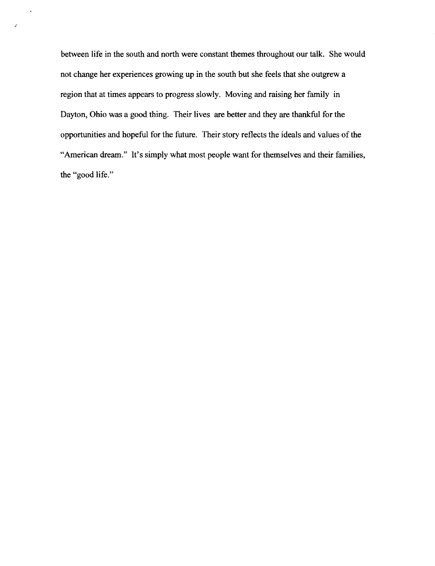between life in the south and north were constant themes throughout our talk. She would not change her experiences growing up in the south but she feels that she outgrew a region that at times appears to progress slowly. Moving and raising her family in Dayton, Ohio was a good thing. Their lives are better and they are thankful for the opportunities and hopeful for the future. Their story reflects the ideals and values of the "American dream." It's simply what most people want for themselves and their families, the "good life."

/

 $\star$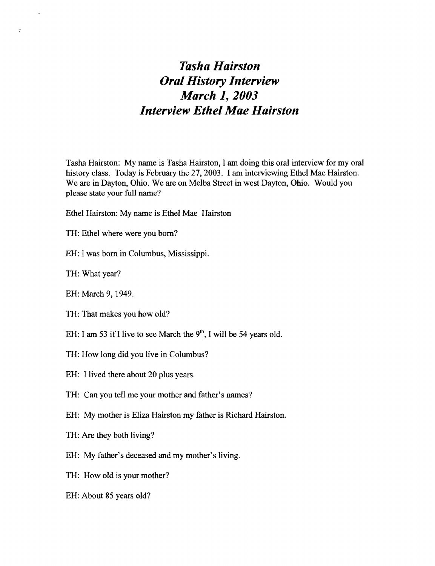### *Tasha Hairston Oral History Interview March* **1,** *2003 Interview Ethel Mae Hairston*

Tasha Hairston: My name is Tasha Hairston, I am doing this oral interview for my oral history class. Today is February the 27, 2003. I am interviewing Ethel Mae Hairston. We are in Dayton, Ohio. We are on Melba Street in west Dayton, Ohio. Would you please state your full name?

- Ethel Hairston: My name is Ethel Mae Hairston
- TH: Ethel where were you born?
- EH: I was born in Columbus, Mississippi.
- TH: What year?

 $\bar{u}$ 

 $\ddot{\cdot}$ 

- EH: March 9, 1949.
- TH: That makes you how old?
- EH: I am 53 if I live to see March the  $9<sup>th</sup>$ , I will be 54 years old.
- TH: How long did you live in Columbus?
- EH: I lived there about 20 plus years.
- TH: Can you tell me your mother and father's names?
- EH: My mother is Eliza Hairston my father is Richard Hairston.
- TH: Are they both living?
- EH: My father's deceased and my mother's living.
- TH: How old is your mother?
- EH: About 85 years old?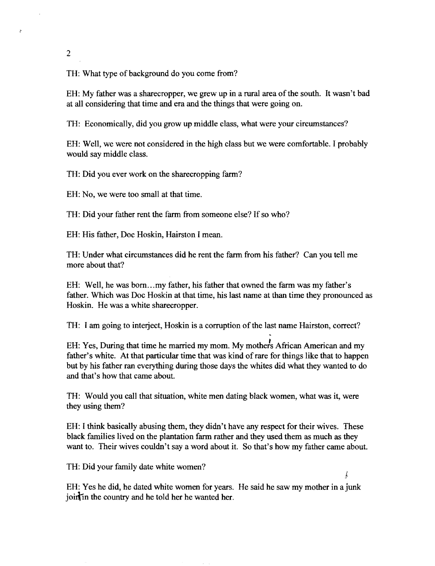2

 $\mathbf{r}$ 

TH: What type of background do you come from?

EH: My father was a sharecropper, we grew up in a rural area of the south. It wasn't bad at all considering that time and era and the things that were going on.

TH: Economically, did you grow up middle class, what were your circumstances?

EH: Well, we were not considered in the high class but we were comfortable. I probably would say middle class.

TH: Did you ever work on the sharecropping farm?

EH: No, we were too small at that time.

TH: Did your father rent the farm from someone else? If so who?

EH: His father, Doc Hoskin, Hairston I mean.

TH: Under what circumstances did he rent the farm from his father? Can you tell me more about that?

EH: Well, he was bom... my father, his father that owned the farm was my father's father. Which was Doc Hoskin at that time, his last name at than time they pronounced as Hoskin. He was a white sharecropper.

TH: I am going to interject, Hoskin is a corruption of the last name Hairston, correct?

EH: Yes, During that time he married my mom. My mother's African American and my father's white. At that particular time that was kind of rare for things like that to happen but by his father ran everything during those days the whites did what they wanted to do and that's how that came about.

TH: Would you call that situation, white men dating black women, what was it, were they using them?

EH: I think basically abusing them, they didn't have any respect for their wives. These black families lived on the plantation farm rather and they used them as much as they want to. Their wives couldn't say a word about it. So that's how my father came about.

TH: Did your family date white women?

EH: Yes he did, he dated white women for years. He said he saw my mother in a junk join in the country and he told her he wanted her.

ţ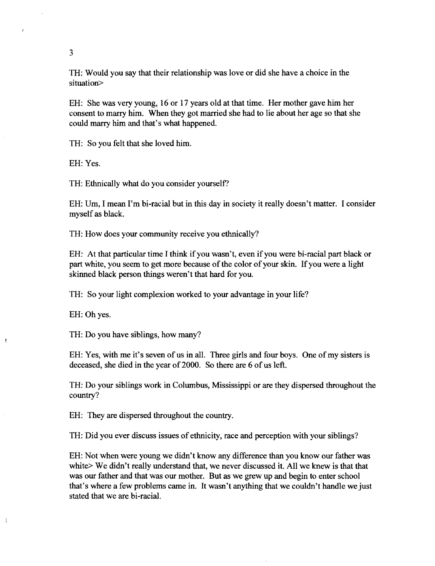TH: Would you say that their relationship was love or did she have a choice in the situation>

EH: She was very young, 16 or 17 years old at that time. Her mother gave him her consent to marry him. When they got married she had to lie about her age so that she could marry him and that's what happened.

TH: So you felt that she loved him.

EH: Yes.

TH: Ethnically what do you consider yourself?

EH: Um, I mean I'm bi-racial but in this day in society it really doesn't matter. I consider myself as black.

TH: How does your community receive you ethnically?

EH: At that particular time I think ifyou wasn't, even ifyou were bi-racial part black or part white, you seem to get more because of the color of your skin. If you were a light skinned black person things weren't that hard for you.

TH: So your light complexion worked to your advantage in your life?

EH: Ohyes.

 $\pmb{\ast}$ 

 $\ddot{\mathrm{i}}$ 

TH: Do you have siblings, how many?

EH: Yes, with me it's seven of us in all. Three girls and four boys. One of my sisters is deceased, she died in the year of 2000. So there are 6 of us left.

TH: Do your siblings work in Columbus, Mississippi or are they dispersed throughout the country?

EH: They are dispersed throughout the country.

TH: Did you ever discuss issues of ethnicity, race and perception with your siblings?

EH: Not when were young we didn't know any difference than you know our father was white> We didn't really understand that, we never discussed it. All we knew is that that was our father and that was our mother. But as we grew up and begin to enter school that's where a few problems came in. It wasn't anything that we couldn't handle we just stated that we are bi-racial.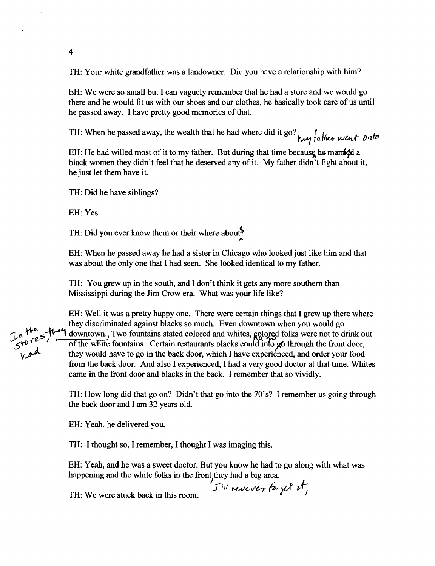TH: Your white grandfather was a landowner. Did you have a relationship with him?

EH: We were so small but I can vaguely remember that he had a store and we would go there and he would fit us with our shoes and our clothes, he basically took care of us until he passed away. I have pretty good memories of that.

TH: When he passed away, the wealth that he had where did it go?  $\frac{1}{2}$  father went onto

EH: He had willed most of it to my father. But during that time because be manited a black women they didn't feel that he deserved any of it. My father didn't fight about it, he just let them have it.

TH: Did he have siblings?

EH: Yes.

4

TH: Did you ever know them or their where about?

EH: When he passed away he had a sister in Chicago who looked just like him and that was about the only one that I had seen. She looked identical to my father.

TH: You grew up in the south, and I don't think it gets any more southern than Mississippi during the Jim Crow era. What was your life like?

EH: Well it was a pretty happy one. There were certain things that I grew up there where they discriminated against blacks so much. Even downtown when you would go In the s-the downtown.<sub>I</sub> Two fountains stated colored and whites, gologed folks were not to drink out re case, I contribute, I we fountains stated colored and whites, Redge forms were not to drink of the white fountains. Certain restaurants blacks could into go through the front door, they would have to go in the back door from the back door. And also I experienced, I had a very good doctor at that time. Whites came in the front door and blacks in the back. I remember that so vividly.

> TH: How long did that go on? Didn't that go into the 70's? I remember us going through the back door and I am 32 years old.

EH: Yeah, he delivered you.

TH: I thought so, I remember, I thought I was imaging this.

EH: Yeah, and he was a sweet doctor. But you know he had to go along with what was happening and the white folks in the front they had a big area.

) I'll neverer for get it,

TH: We were stuck back in this room.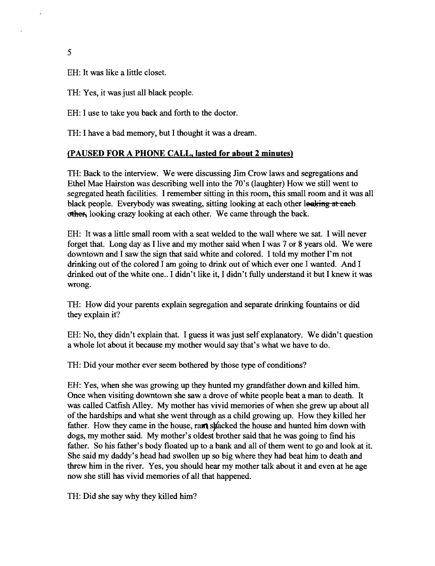5

EH: It was like a little closet.

TH: Yes, it was just all black people.

EH: I use to take you back and forth to the doctor.

TH: I have a bad memory, but I thought it was a dream.

#### (PAUSED FOR A PHONE CALL, lasted for about 2 minutes)

TH: Back to the interview. We were discussing Jim Crow laws and segregations and Ethel Mae Hairston was describing well into the 70's (laughter) How we still went to segregated heath facilities. I remember sitting in this room, this small room and it was all black people. Everybody was sweating, sitting looking at each other looking at each other, looking crazy looking at each other. We came through the back.

EH: It was a little small room with a seat welded to the wall where we sat. I will never forget that. Long day as I live and my mother said when I was 7 or 8 years old. We were downtown and I saw the sign that said white and colored. I told my mother I'm not drinking out of the colored I am going to drink out of which ever one I wanted. And I drinked out of the white one.. I didn't like it, I didn't fully understand it but I knew it was wrong.

TH: How did your parents explain segregation and separate drinking fountains or did they explain it?

EH: No, they didn't explain that. I guess it was just self explanatory. We didn't question a whole lot about it because my mother would say that's what we have to do.

TH: Did your mother ever seem bothered by those type of conditions?

EH: Yes, when she was growing up they hunted my grandfather down and killed him. Once when visiting downtown she saw a drove of white people beat a man to death. It was called Catfish Alley. My mother has vivid memories of when she grew up about all ofthe hardships and what she went through as a child growing up. How they killed her father. How they came in the house, ram skacked the house and hunted him down with dogs, my mother said. My mother's oldest brother said that he was going to find his father. So his father's body floated up to a bank and all of them went to go and look at it. She said my daddy's head had swollen up so big where they had beat him to death and threw him in the river. Yes, you should hear my mother talk about it and even at he age now she still has vivid memories of all that happened.

TH: Did she say why they killed him?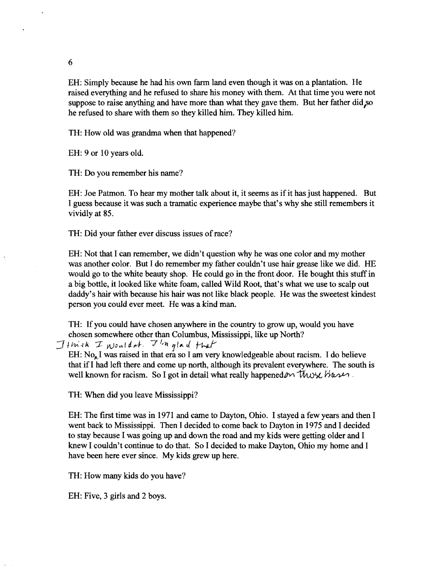EH: Simply because he had his own fann land even though it was on a plantation. He raised everything and he refused to share his money with them. At that time you were not suppose to raise anything and have more than what they gave them. But her father did  $\infty$ he refused to share with them so they killed him. They killed him.

TH: How old was grandma when that happened?

EH: 9 or 10 years old.

TH: Do you remember his name?

EH: Joe Patmon. To hear my mother talk about it, it seems as if it has just happened. But I guess because it was such a tramatic experience maybe that's why she still remembers it vividly at 85.

TH: Did your father ever discuss issues of race?

EH: Not that I can remember, we didn't question why he was one color and my mother was another color. But I do remember my father couldn't use hair grease like we did. HE would go to the white beauty shop. He could go in the front door. He bought this stuff in a big bottle, it looked like white foam, called Wild Root, that's what we use to scalp out daddy's hair with because his hair was not like black people. He was the sweetest kindest person you could ever meet. He was a kind man.

TH: Ifyou could have chosen anywhere in the country to grow up, would you have chosen somewhere other than Columbus, Mississippi, like up North?

 $\mathcal{I}$ thick I Nouldat. I'm glad that

EH:  $No<sub>n</sub>$  I was raised in that era so I am very knowledgeable about racism. I do believe that ifI had left there and come up north, although its prevalent everywhere. The south is well known for racism. So I got in detail what really happened on thus  $\mathcal{W}$  ,

TH: When did you leave Mississippi?

EH: The fIrst time was in 1971 and came to Dayton, Ohio. I stayed a few years and then I went back to Mississippi. Then I decided to come back to Dayton in 1975 and I decided to stay because I was going up and down the road and my kids were getting older and I knew I couldn't continue to do that. So I decided to make Dayton, Ohio my home and I have been here ever since. My kids grew up here.

TH: How many kids do you have?

EH: Five, 3 girls and 2 boys.

6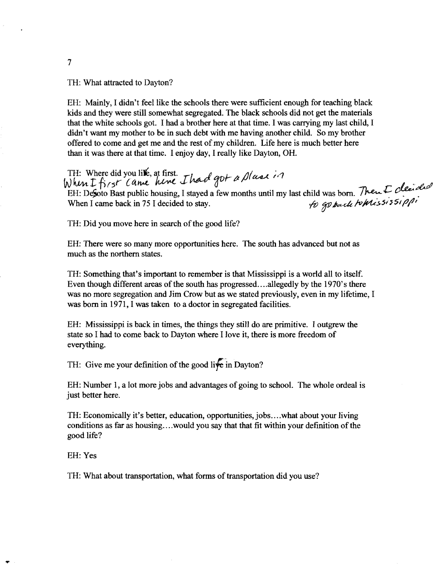TH: What attracted to Dayton?

EH: Mainly, I didn't feel like the schools there were sufficient enough for teaching black kids and they were still somewhat segregated. The black schools did not get the materials that the white schools got. I had a brother here at that time. I was carrying my last child, I didn't want my mother to be in such debt with me having another child. So my brother offered to come and get me and the rest of my children. Life here is much better here than it was there at that time. I enjoy day, I really like Dayton, OH.

TH: Where did you like, at first. *I had got a plase in* TH: Where did you like, at first.<br>When I fi<sub>15</sub>r *Cansel hence I hard got a plane in*<br>EH: Defoto Bast public housing, I stayed a few months until my last child was born. *Then I clearded* When I came back in 75 I decided to stay.  $\theta$  and  $\theta$  and  $\theta$  and  $\theta$  is  $565171'$ 

TH: Did you move here in search of the good life?

EH: There were so many more opportunities here. The south has advanced but not as much as the northern states.

TH: Something that's important to remember is that Mississippi is a world all to itself. Even though different areas of the south has progressed....allegedly by the 1970's there was no more segregation and Jim Crow but as we stated previously, even in my lifetime, I was born in 1971, I was taken to a doctor in segregated facilities.

EH: Mississippi is back in times, the things they still do are primitive. I outgrew the state so I had to come back to Dayton where I love it, there is more freedom of everything.

TH: Give me your definition of the good live in Dayton?

EH: Number 1, a lot more jobs and advantages of going to school. The whole ordeal is just better here.

TH: Economically it's better, education, opportunities,jobs ....what about your living conditions as far as housing....would you say that that fit within your definition of the good life?

EH: Yes

TH: What about transportation, what forms of transportation did you use?

7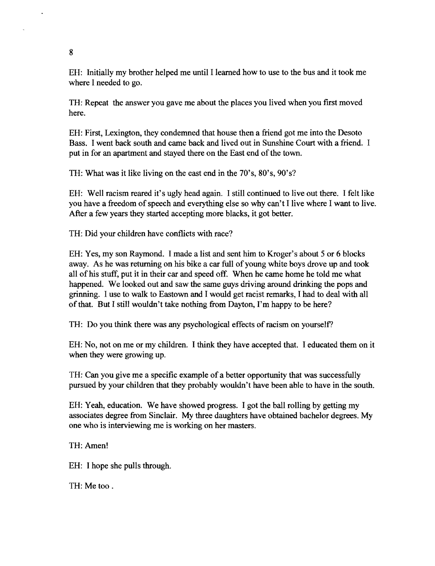EH: Initially my brother helped me until I learned how to use to the bus and it took me where I needed to go.

TH: Repeat the answer you gave me about the places you lived when you first moved here.

EH: First, Lexington, they condemned that house then a friend got me into the Desoto Bass. I went back south and came back and lived out in Sunshine Court with a friend. I put in for an apartment and stayed there on the East end of the town.

TH: What was it like living on the east end in the 70's, 80's, 90's?

EH: Well racism reared it's ugly head again. I still continued to live out there. I felt like you have a freedom of speech and everything else so why can't I live where I want to live. After a few years they started accepting more blacks, it got better.

TH: Did your children have conflicts with race?

EH: Yes, my son Raymond. I made a list and sent him to Kroger's about 5 or 6 blocks away. As he was returning on his bike a car full of young white boys drove up and took all of his stuff, put it in their car and speed off. When he came home he told me what happened. We looked out and saw the same guys driving around drinking the pops and grinning. I use to walk to Eastown and I would get racist remarks, I had to deal with all of that. But I still wouldn't take nothing from Dayton, I'm happy to be here?

TH: Do you think there was any psychological effects of racism on yourself?

EH: No, not on me or my children. I think they have accepted that. I educated them on it when they were growing up.

TH: Can you give me a specific example of a better opportunity that was successfully pursued by your children that they probably wouldn't have been able to have in the south.

EH: Yeah, education. We have showed progress. I got the ball rolling by getting my associates degree from Sinclair. My three daughters have obtained bachelor degrees. My one who is interviewing me is working on her masters.

TH: Amen!

EH: I hope she pulls through.

TH: Me too.